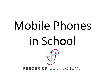# Mobile Phones in SchoolFREDERICK GENT SCHOOL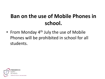#### **Ban on the use of Mobile Phones in school.**

• From Monday  $4<sup>th</sup>$  July the use of Mobile Phones will be prohibited in school for all students.

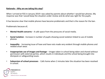#### **Rationale – Why are we taking this step?**

When I arrived at FGS in January 2019 I was asked by parents about whether I would ban phones. My response was that I would keep the situation under review and do what was right for the pupils.

It has become clear that mobile phones have become problematic and that is the reason for the ban.

Problematic because of;

- **Mental Health concerns**  A safe space from the pressures of social media.
- **Social isolation**  Increase in number of pupils showing social isolation linked to use of mobile phones
- **Inequality** Increasing issue of have and have nots made very evident through mobile phones and related smart wear.
- **Inappropriate use of images and footage**  Images taken in school being taken and shared without permission with external parties, which results in individuals and the school being brought into disrepute or safeguarding issues.
- **Subversion of school processes**  Calls home when 2 minutes later the situation has been resolved in school.

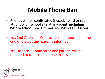# **Mobile Phone Ban**

- Phones will be confiscated if used, heard or seen at school on school site at any point, **including before school, social times** and **between lessons**.
- 1st, 2nd Offence Confiscated and returned at the end of the day and parents informed.
- 3rd Offence Confiscated and parents will be required to collect the phone from school.

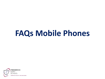# **FAQs Mobile Phones**

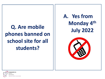**Q. Are mobile phones banned on school site for all students?**

**A. Yes from Monday 4th July 2022**



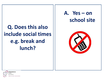## **Q. Does this also include social times e.g. break and lunch?**

#### **A. Yes – on school site**



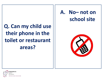#### **Q. Can my child use their phone in the toilet or restaurant areas?**

#### **A. No– not on school site**



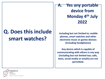#### **Q. Does this include smart watches?**

**A. Yes any portable device from Monday 4th July 2022**

**including but not limited to; mobile phones, smart watches and other electronic music or games devices (including headphones)**

**Any device which is capable of communicating with others in any way (including but not limited too; calls, texts, social media or emails) are not permitted.**

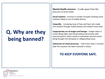# **Q. Why are they being banned?**

**Mental Health concerns** – A safe space from the pressures of social media.

**Social isolation** - Increase in number of pupils showing social isolation linked to use of mobile phones

**Inequality** - Increasing issue of have and have nots made very evident through mobile phones and related smart wear.

**Inappropriate use of images and footage** – Images taken in school being taken and shared without permission with external parties, which results in individuals and the school being brought into disrepute or safeguarding issues.

**Subversion of school processes** - Calls home when 2 minutes later the situation has been resolved in school.

#### **TO KEEP EVERYONE SAFE.**

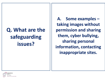## **Q. What are the safeguarding issues?**

**A. Some examples – taking images without permission and sharing them, cyber bullying, sharing personal information, contacting inappropriate sites.**

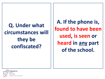**Q. Under what circumstances will they be confiscated?**

**A. If the phone is, found to have been used, is seen or heard in any part of the school.**

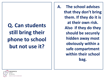**Q. Can students still bring their phone to school but not use it?**

**A. The school advises that they don't bring them. If they do it is at their own risk. Also if they do they should be securely hidden away most obviously within a safe compartment within their school bag.**

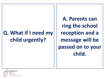#### **Q. What if I need my child urgently?**

**A. Parents can ring the school reception and a message will be passed on to your child.**

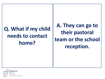## **Q. What if my child needs to contact home?**

**A. They can go to their pastoral team or the school reception.**

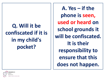## **Q. Will it be confiscated if it is in my child's pocket?**

**A. Yes – if the phone is seen, used or heard on school grounds it will be confiscated. It is their responsibility to ensure that this does not happen.**

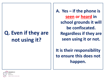### **Q. Even if they are not using it?**

**A. Yes – if the phone is seen or heard in school grounds it will be confiscated. Regardless if they are seen using it or not.** 

**It is their responsibility to ensure this does not happen.** 

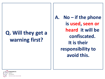#### **Q. Will they get a warning first?**

**A. No – if the phone is used, seen or heard it will be confiscated. It is their responsibility to avoid this.**

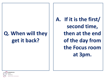#### **Q. When will they get it back?**

**A. If it is the first/ second time, then at the end of the day from the Focus room at 3pm.**

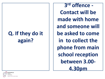#### **Q. If they do it again?**

**3 rd offence - Contact will be made with home and someone will be asked to come in to collect the phone from main school reception between 3.00- 4.30pm**

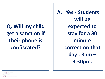**Q. Will my child get a sanction if their phone is confiscated?**

**A. Yes - Students will be expected to stay for a 30 minute correction that day , 3pm – 3.30pm.** 

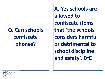# **Q. Can schools confiscate phones?**

**A. Yes schools are allowed to confiscate items that 'the schools considers harmful or detrimental to school discipline and safety'. DfE**

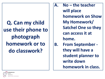**Q. Can my child use their phone to photograph homework or to do classwork?**

**A. No – the teacher will place homework on Show My Homework/ Satchel One so they can access it at home. B. From September they will have a student planner to write down homework in class.** 

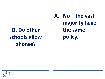## **Q. Do other schools allow phones?**

**A. No – the vast majority have the same policy.**

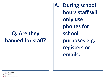#### **Q. Are they banned for staff?**

**A. During school hours staff will only use phones for school purposes e.g. registers or emails.** 

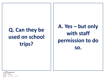## **Q. Can they be used on school trips?**

**A. Yes – but only with staff permission to do so.** 

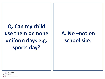**Q. Can my child use them on none uniform days e.g. sports day?**

#### **A. No –not on school site.**